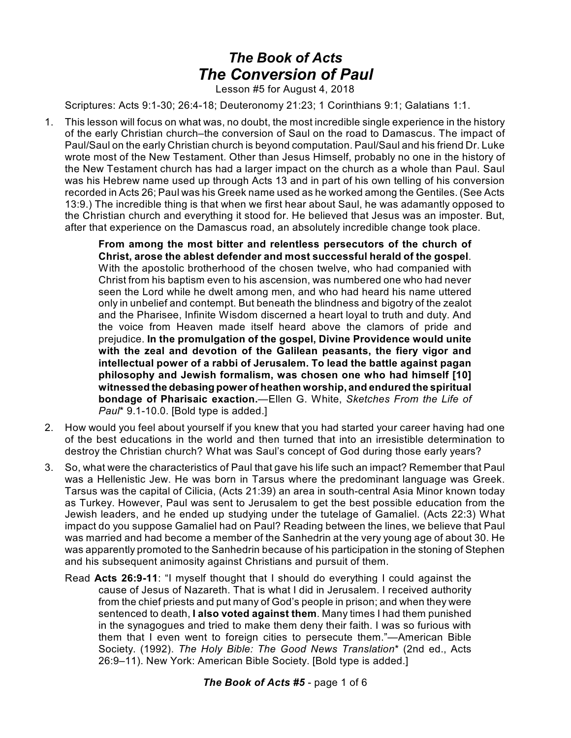## *The Book of Acts The Conversion of Paul*

Lesson #5 for August 4, 2018

Scriptures: Acts 9:1-30; 26:4-18; Deuteronomy 21:23; 1 Corinthians 9:1; Galatians 1:1.

1. This lesson will focus on what was, no doubt, the most incredible single experience in the history of the early Christian church–the conversion of Saul on the road to Damascus. The impact of Paul/Saul on the early Christian church is beyond computation. Paul/Saul and his friend Dr. Luke wrote most of the New Testament. Other than Jesus Himself, probably no one in the history of the New Testament church has had a larger impact on the church as a whole than Paul. Saul was his Hebrew name used up through Acts 13 and in part of his own telling of his conversion recorded in Acts 26; Paul was his Greek name used as he worked among the Gentiles. (See Acts 13:9.) The incredible thing is that when we first hear about Saul, he was adamantly opposed to the Christian church and everything it stood for. He believed that Jesus was an imposter. But, after that experience on the Damascus road, an absolutely incredible change took place.

> **From among the most bitter and relentless persecutors of the church of Christ, arose the ablest defender and most successful herald of the gospel**. With the apostolic brotherhood of the chosen twelve, who had companied with Christ from his baptism even to his ascension, was numbered one who had never seen the Lord while he dwelt among men, and who had heard his name uttered only in unbelief and contempt. But beneath the blindness and bigotry of the zealot and the Pharisee, Infinite Wisdom discerned a heart loyal to truth and duty. And the voice from Heaven made itself heard above the clamors of pride and prejudice. **In the promulgation of the gospel, Divine Providence would unite with the zeal and devotion of the Galilean peasants, the fiery vigor and intellectual power of a rabbi of Jerusalem. To lead the battle against pagan philosophy and Jewish formalism, was chosen one who had himself [10] witnessed the debasing power of heathen worship, and endured the spiritual bondage of Pharisaic exaction.**—Ellen G. White, *Sketches From the Life of Paul*\* 9.1-10.0. [Bold type is added.]

- 2. How would you feel about yourself if you knew that you had started your career having had one of the best educations in the world and then turned that into an irresistible determination to destroy the Christian church? What was Saul's concept of God during those early years?
- 3. So, what were the characteristics of Paul that gave his life such an impact? Remember that Paul was a Hellenistic Jew. He was born in Tarsus where the predominant language was Greek. Tarsus was the capital of Cilicia, (Acts 21:39) an area in south-central Asia Minor known today as Turkey. However, Paul was sent to Jerusalem to get the best possible education from the Jewish leaders, and he ended up studying under the tutelage of Gamaliel. (Acts 22:3) What impact do you suppose Gamaliel had on Paul? Reading between the lines, we believe that Paul was married and had become a member of the Sanhedrin at the very young age of about 30. He was apparently promoted to the Sanhedrin because of his participation in the stoning of Stephen and his subsequent animosity against Christians and pursuit of them.
	- Read **Acts 26:9-11**: "I myself thought that I should do everything I could against the cause of Jesus of Nazareth. That is what I did in Jerusalem. I received authority from the chief priests and put many of God's people in prison; and when they were sentenced to death, **I also voted against them**. Many times I had them punished in the synagogues and tried to make them deny their faith. I was so furious with them that I even went to foreign cities to persecute them."—American Bible Society. (1992). *The Holy Bible: The Good News Translation*\* (2nd ed., Acts 26:9–11). New York: American Bible Society. [Bold type is added.]

## *The Book of Acts #5* - page 1 of 6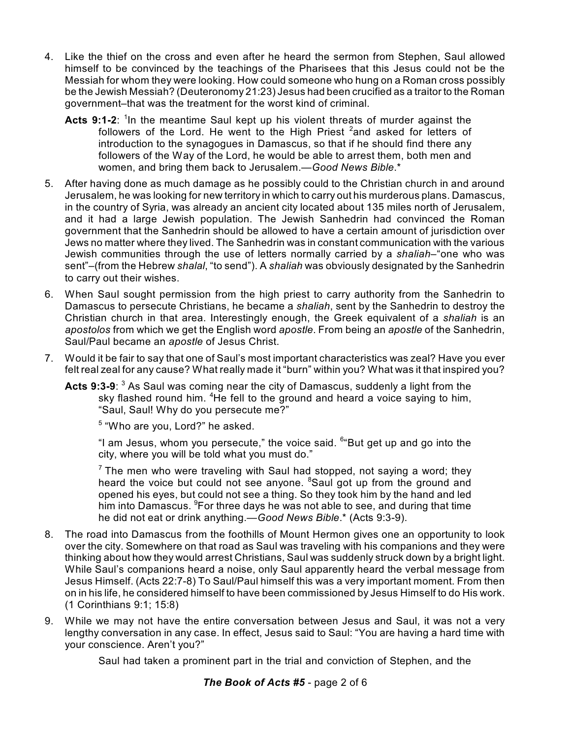- 4. Like the thief on the cross and even after he heard the sermon from Stephen, Saul allowed himself to be convinced by the teachings of the Pharisees that this Jesus could not be the Messiah for whom they were looking. How could someone who hung on a Roman cross possibly be the Jewish Messiah? (Deuteronomy 21:23) Jesus had been crucified as a traitor to the Roman government–that was the treatment for the worst kind of criminal.
	- Acts 9:1-2: <sup>1</sup>In the meantime Saul kept up his violent threats of murder against the followers of the Lord. He went to the High Priest <sup>2</sup>and asked for letters of introduction to the synagogues in Damascus, so that if he should find there any followers of the Way of the Lord, he would be able to arrest them, both men and women, and bring them back to Jerusalem.—*Good News Bible*.\*
- 5. After having done as much damage as he possibly could to the Christian church in and around Jerusalem, he was looking for new territory in which to carry out his murderous plans. Damascus, in the country of Syria, was already an ancient city located about 135 miles north of Jerusalem, and it had a large Jewish population. The Jewish Sanhedrin had convinced the Roman government that the Sanhedrin should be allowed to have a certain amount of jurisdiction over Jews no matter where they lived. The Sanhedrin was in constant communication with the various Jewish communities through the use of letters normally carried by a *shaliah*–"one who was sent"–(from the Hebrew *shalal*, "to send"). A *shaliah* was obviously designated by the Sanhedrin to carry out their wishes.
- 6. When Saul sought permission from the high priest to carry authority from the Sanhedrin to Damascus to persecute Christians, he became a *shaliah*, sent by the Sanhedrin to destroy the Christian church in that area. Interestingly enough, the Greek equivalent of a *shaliah* is an *apostolos* from which we get the English word *apostle*. From being an *apostle* of the Sanhedrin, Saul/Paul became an *apostle* of Jesus Christ.
- 7. Would it be fair to say that one of Saul's most important characteristics was zeal? Have you ever felt real zeal for any cause? What really made it "burn" within you? What was it that inspired you?
	- **Acts 9:3-9**: <sup>3</sup> As Saul was coming near the city of Damascus, suddenly a light from the sky flashed round him. <sup>4</sup>He fell to the ground and heard a voice saying to him, "Saul, Saul! Why do you persecute me?"

<sup>5</sup> "Who are you, Lord?" he asked.

"I am Jesus, whom you persecute," the voice said. <sup>6</sup> But get up and go into the city, where you will be told what you must do."

 $7$  The men who were traveling with Saul had stopped, not saying a word; they heard the voice but could not see anyone. <sup>8</sup>Saul got up from the ground and opened his eyes, but could not see a thing. So they took him by the hand and led him into Damascus. <sup>9</sup>For three days he was not able to see, and during that time he did not eat or drink anything.—*Good News Bible*.\* (Acts 9:3-9).

- 8. The road into Damascus from the foothills of Mount Hermon gives one an opportunity to look over the city. Somewhere on that road as Saul was traveling with his companions and they were thinking about how they would arrest Christians, Saul was suddenly struck down by a bright light. While Saul's companions heard a noise, only Saul apparently heard the verbal message from Jesus Himself. (Acts 22:7-8) To Saul/Paul himself this was a very important moment. From then on in his life, he considered himself to have been commissioned by Jesus Himself to do His work. (1 Corinthians 9:1; 15:8)
- 9. While we may not have the entire conversation between Jesus and Saul, it was not a very lengthy conversation in any case. In effect, Jesus said to Saul: "You are having a hard time with your conscience. Aren't you?"

Saul had taken a prominent part in the trial and conviction of Stephen, and the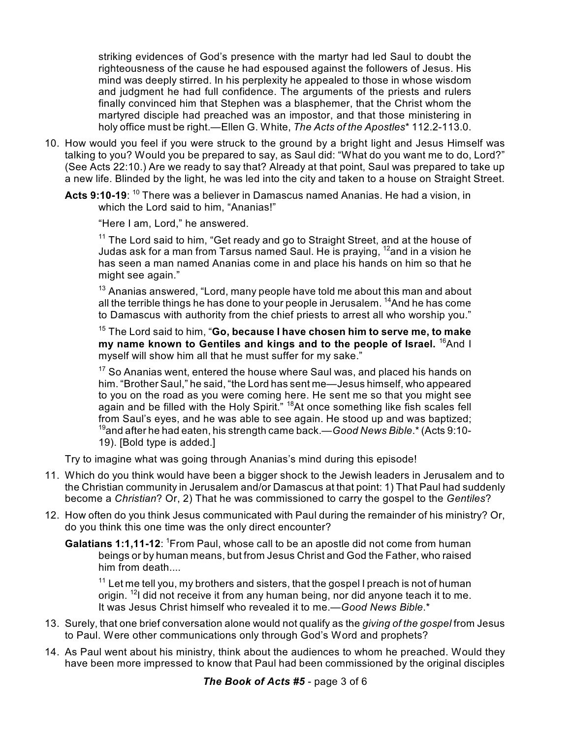striking evidences of God's presence with the martyr had led Saul to doubt the righteousness of the cause he had espoused against the followers of Jesus. His mind was deeply stirred. In his perplexity he appealed to those in whose wisdom and judgment he had full confidence. The arguments of the priests and rulers finally convinced him that Stephen was a blasphemer, that the Christ whom the martyred disciple had preached was an impostor, and that those ministering in holy office must be right.—Ellen G. White, *The Acts of the Apostles*\* 112.2-113.0.

- 10. How would you feel if you were struck to the ground by a bright light and Jesus Himself was talking to you? Would you be prepared to say, as Saul did: "What do you want me to do, Lord?" (See Acts 22:10.) Are we ready to say that? Already at that point, Saul was prepared to take up a new life. Blinded by the light, he was led into the city and taken to a house on Straight Street.
	- **Acts 9:10-19**: <sup>10</sup> There was a believer in Damascus named Ananias. He had a vision, in which the Lord said to him, "Ananias!"

"Here I am, Lord," he answered.

 $11$  The Lord said to him, "Get ready and go to Straight Street, and at the house of Judas ask for a man from Tarsus named Saul. He is praying, <sup>12</sup>and in a vision he has seen a man named Ananias come in and place his hands on him so that he might see again."

 $13$  Ananias answered, "Lord, many people have told me about this man and about all the terrible things he has done to your people in Jerusalem. <sup>14</sup>And he has come to Damascus with authority from the chief priests to arrest all who worship you."

<sup>15</sup> The Lord said to him, "**Go, because I have chosen him to serve me, to make my name known to Gentiles and kings and to the people of Israel.** <sup>16</sup>And I myself will show him all that he must suffer for my sake."

 $17$  So Ananias went, entered the house where Saul was, and placed his hands on him. "Brother Saul," he said, "the Lord has sent me—Jesus himself, who appeared to you on the road as you were coming here. He sent me so that you might see again and be filled with the Holy Spirit." <sup>18</sup>At once something like fish scales fell from Saul's eyes, and he was able to see again. He stood up and was baptized; <sup>19</sup>and after he had eaten, his strength came back.—*Good News Bible*.\* (Acts 9:10- 19). [Bold type is added.]

Try to imagine what was going through Ananias's mind during this episode!

- 11. Which do you think would have been a bigger shock to the Jewish leaders in Jerusalem and to the Christian community in Jerusalem and/or Damascus at that point: 1) That Paul had suddenly become a *Christian*? Or, 2) That he was commissioned to carry the gospel to the *Gentiles*?
- 12. How often do you think Jesus communicated with Paul during the remainder of his ministry? Or, do you think this one time was the only direct encounter?
	- Galatians 1:1,11-12: <sup>1</sup>From Paul, whose call to be an apostle did not come from human beings or by human means, but from Jesus Christ and God the Father, who raised him from death....

 $11$  Let me tell you, my brothers and sisters, that the gospel I preach is not of human origin. <sup>12</sup>I did not receive it from any human being, nor did anyone teach it to me. It was Jesus Christ himself who revealed it to me.—*Good News Bible*.\*

- 13. Surely, that one brief conversation alone would not qualify as the *giving of the gospel* from Jesus to Paul. Were other communications only through God's Word and prophets?
- 14. As Paul went about his ministry, think about the audiences to whom he preached. Would they have been more impressed to know that Paul had been commissioned by the original disciples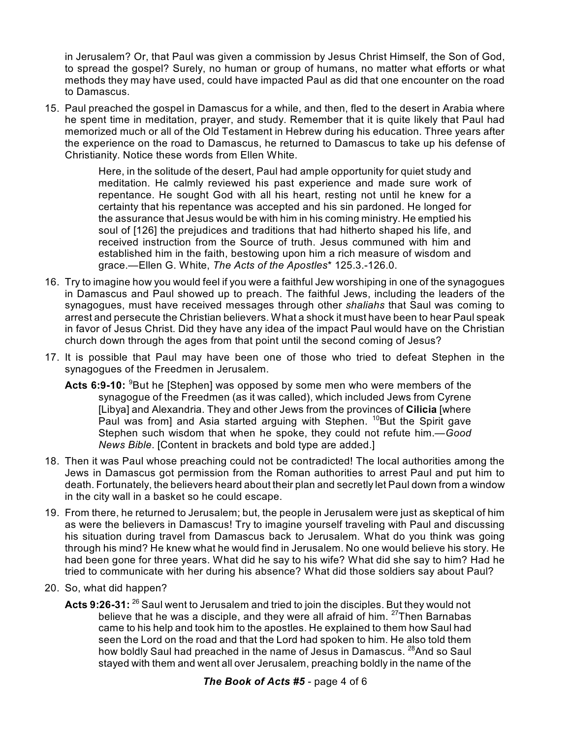in Jerusalem? Or, that Paul was given a commission by Jesus Christ Himself, the Son of God, to spread the gospel? Surely, no human or group of humans, no matter what efforts or what methods they may have used, could have impacted Paul as did that one encounter on the road to Damascus.

15. Paul preached the gospel in Damascus for a while, and then, fled to the desert in Arabia where he spent time in meditation, prayer, and study. Remember that it is quite likely that Paul had memorized much or all of the Old Testament in Hebrew during his education. Three years after the experience on the road to Damascus, he returned to Damascus to take up his defense of Christianity. Notice these words from Ellen White.

> Here, in the solitude of the desert, Paul had ample opportunity for quiet study and meditation. He calmly reviewed his past experience and made sure work of repentance. He sought God with all his heart, resting not until he knew for a certainty that his repentance was accepted and his sin pardoned. He longed for the assurance that Jesus would be with him in his coming ministry. He emptied his soul of [126] the prejudices and traditions that had hitherto shaped his life, and received instruction from the Source of truth. Jesus communed with him and established him in the faith, bestowing upon him a rich measure of wisdom and grace.—Ellen G. White, *The Acts of the Apostles*\* 125.3.-126.0.

- 16. Try to imagine how you would feel if you were a faithful Jew worshiping in one of the synagogues in Damascus and Paul showed up to preach. The faithful Jews, including the leaders of the synagogues, must have received messages through other *shaliahs* that Saul was coming to arrest and persecute the Christian believers. What a shock it must have been to hear Paul speak in favor of Jesus Christ. Did they have any idea of the impact Paul would have on the Christian church down through the ages from that point until the second coming of Jesus?
- 17. It is possible that Paul may have been one of those who tried to defeat Stephen in the synagogues of the Freedmen in Jerusalem.
	- **Acts 6:9-10:** <sup>9</sup>But he [Stephen] was opposed by some men who were members of the synagogue of the Freedmen (as it was called), which included Jews from Cyrene [Libya] and Alexandria. They and other Jews from the provinces of **Cilicia** [where Paul was from] and Asia started arguing with Stephen. <sup>10</sup>But the Spirit gave Stephen such wisdom that when he spoke, they could not refute him.—*Good News Bible*. [Content in brackets and bold type are added.]
- 18. Then it was Paul whose preaching could not be contradicted! The local authorities among the Jews in Damascus got permission from the Roman authorities to arrest Paul and put him to death. Fortunately, the believers heard about their plan and secretly let Paul down from a window in the city wall in a basket so he could escape.
- 19. From there, he returned to Jerusalem; but, the people in Jerusalem were just as skeptical of him as were the believers in Damascus! Try to imagine yourself traveling with Paul and discussing his situation during travel from Damascus back to Jerusalem. What do you think was going through his mind? He knew what he would find in Jerusalem. No one would believe his story. He had been gone for three years. What did he say to his wife? What did she say to him? Had he tried to communicate with her during his absence? What did those soldiers say about Paul?
- 20. So, what did happen?
	- **Acts 9:26-31:**  $^{26}$  Saul went to Jerusalem and tried to join the disciples. But they would not believe that he was a disciple, and they were all afraid of him. <sup>27</sup>Then Barnabas came to his help and took him to the apostles. He explained to them how Saul had seen the Lord on the road and that the Lord had spoken to him. He also told them how boldly Saul had preached in the name of Jesus in Damascus. <sup>28</sup>And so Saul stayed with them and went all over Jerusalem, preaching boldly in the name of the

## *The Book of Acts #5* - page 4 of 6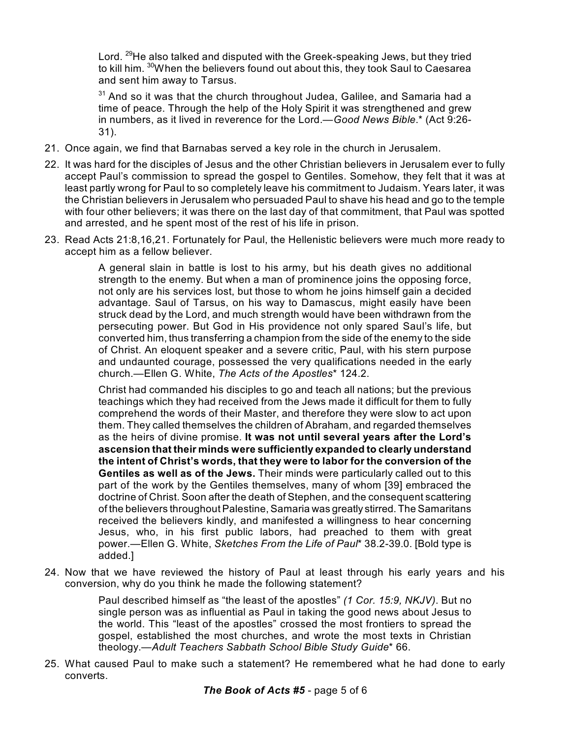Lord. <sup>29</sup>He also talked and disputed with the Greek-speaking Jews, but they tried to kill him.  $^{\rm 30}$ When the believers found out about this, they took Saul to Caesarea and sent him away to Tarsus.

 $31$  And so it was that the church throughout Judea, Galilee, and Samaria had a time of peace. Through the help of the Holy Spirit it was strengthened and grew in numbers, as it lived in reverence for the Lord.—*Good News Bible*.\* (Act 9:26- 31).

- 21. Once again, we find that Barnabas served a key role in the church in Jerusalem.
- 22. It was hard for the disciples of Jesus and the other Christian believers in Jerusalem ever to fully accept Paul's commission to spread the gospel to Gentiles. Somehow, they felt that it was at least partly wrong for Paul to so completely leave his commitment to Judaism. Years later, it was the Christian believers in Jerusalem who persuaded Paul to shave his head and go to the temple with four other believers; it was there on the last day of that commitment, that Paul was spotted and arrested, and he spent most of the rest of his life in prison.
- 23. Read Acts 21:8,16,21. Fortunately for Paul, the Hellenistic believers were much more ready to accept him as a fellow believer.

A general slain in battle is lost to his army, but his death gives no additional strength to the enemy. But when a man of prominence joins the opposing force, not only are his services lost, but those to whom he joins himself gain a decided advantage. Saul of Tarsus, on his way to Damascus, might easily have been struck dead by the Lord, and much strength would have been withdrawn from the persecuting power. But God in His providence not only spared Saul's life, but converted him, thus transferring a champion from the side of the enemy to the side of Christ. An eloquent speaker and a severe critic, Paul, with his stern purpose and undaunted courage, possessed the very qualifications needed in the early church.—Ellen G. White, *The Acts of the Apostles*\* 124.2.

Christ had commanded his disciples to go and teach all nations; but the previous teachings which they had received from the Jews made it difficult for them to fully comprehend the words of their Master, and therefore they were slow to act upon them. They called themselves the children of Abraham, and regarded themselves as the heirs of divine promise. **It was not until several years after the Lord's ascension that their minds were sufficiently expanded to clearly understand the intent of Christ's words, that they were to labor for the conversion of the Gentiles as well as of the Jews.** Their minds were particularly called out to this part of the work by the Gentiles themselves, many of whom [39] embraced the doctrine of Christ. Soon after the death of Stephen, and the consequent scattering of the believers throughout Palestine, Samaria was greatly stirred. The Samaritans received the believers kindly, and manifested a willingness to hear concerning Jesus, who, in his first public labors, had preached to them with great power.—Ellen G. White, *Sketches From the Life of Paul*\* 38.2-39.0. [Bold type is added.]

24. Now that we have reviewed the history of Paul at least through his early years and his conversion, why do you think he made the following statement?

> Paul described himself as "the least of the apostles" *(1 Cor. 15:9, NKJV)*. But no single person was as influential as Paul in taking the good news about Jesus to the world. This "least of the apostles" crossed the most frontiers to spread the gospel, established the most churches, and wrote the most texts in Christian theology.—*Adult Teachers Sabbath School Bible Study Guide*\* 66.

25. What caused Paul to make such a statement? He remembered what he had done to early converts.